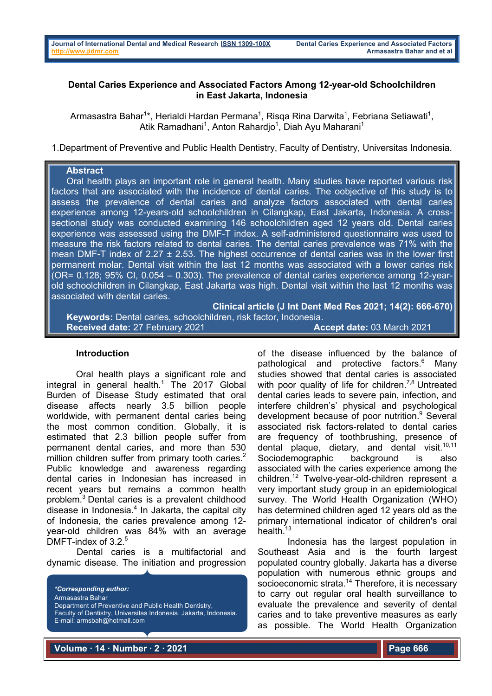## **Dental Caries Experience and Associated Factors Among 12-year-old Schoolchildren in East Jakarta, Indonesia**

Armasastra Bahar<sup>1\*</sup>, Herialdi Hardan Permana<sup>1</sup>, Risqa Rina Darwita<sup>1</sup>, Febriana Setiawati<sup>1</sup>, Atik Ramadhani<sup>1</sup>, Anton Rahardjo<sup>1</sup>, Diah Ayu Maharani<sup>1</sup>

1.Department of Preventive and Public Health Dentistry, Faculty of Dentistry, Universitas Indonesia.

### **Abstract**

 Oral health plays an important role in general health. Many studies have reported various risk factors that are associated with the incidence of dental caries. The oobjective of this study is to assess the prevalence of dental caries and analyze factors associated with dental caries experience among 12-years-old schoolchildren in Cilangkap, East Jakarta, Indonesia. A crosssectional study was conducted examining 146 schoolchildren aged 12 years old. Dental caries experience was assessed using the DMF-T index. A self-administered questionnaire was used to measure the risk factors related to dental caries. The dental caries prevalence was 71% with the mean DMF-T index of 2.27  $\pm$  2.53. The highest occurrence of dental caries was in the lower first permanent molar. Dental visit within the last 12 months was associated with a lower caries risk (OR=  $0.128$ ; 95% CI,  $0.054 - 0.303$ ). The prevalence of dental caries experience among 12-yearold schoolchildren in Cilangkap, East Jakarta was high. Dental visit within the last 12 months was associated with dental caries.

**Clinical article (J Int Dent Med Res 2021; 14(2): 666-670) Keywords:** Dental caries, schoolchildren, risk factor, Indonesia. **Received date:** 27 February 2021 **Accept date:** 03 March 2021

#### **Introduction**

Oral health plays a significant role and integral in general health. $1$  The 2017 Global Burden of Disease Study estimated that oral disease affects nearly 3.5 billion people worldwide, with permanent dental caries being the most common condition. Globally, it is estimated that 2.3 billion people suffer from permanent dental caries, and more than 530 million children suffer from primary tooth caries.<sup>2</sup> Public knowledge and awareness regarding dental caries in Indonesian has increased in recent years but remains a common health problem. <sup>3</sup> Dental caries is a prevalent childhood disease in Indonesia. <sup>4</sup> In Jakarta, the capital city of Indonesia, the caries prevalence among 12 year-old children was 84% with an average DMFT-index of 3.2.<sup>5</sup>

Dental caries is a multifactorial and dynamic disease. The initiation and progression

*\*Corresponding author:* Armasastra Bahar Department of Preventive and Public Health Dentistry, Faculty of Dentistry, Universitas Indonesia. Jakarta, Indonesia. E-mail: armsbah@hotmail.com

of the disease influenced by the balance of pathological and protective factors.<sup>6</sup> Many studies showed that dental caries is associated with poor quality of life for children.<sup>7,8</sup> Untreated dental caries leads to severe pain, infection, and interfere children's' physical and psychological development because of poor nutrition.<sup>9</sup> Several associated risk factors-related to dental caries are frequency of toothbrushing, presence of dental plaque, dietary, and dental visit. $10,11$ Sociodemographic background is also associated with the caries experience among the children.12 Twelve-year-old-children represent a very important study group in an epidemiological survey. The World Health Organization (WHO) has determined children aged 12 years old as the primary international indicator of children's oral health.<sup>13</sup>

Indonesia has the largest population in Southeast Asia and is the fourth largest populated country globally. Jakarta has a diverse population with numerous ethnic groups and socioeconomic strata.<sup>14</sup> Therefore, it is necessary to carry out regular oral health surveillance to evaluate the prevalence and severity of dental caries and to take preventive measures as early as possible. The World Health Organization

**Volume ∙ 14 ∙ Number ∙ 2 ∙ 2021**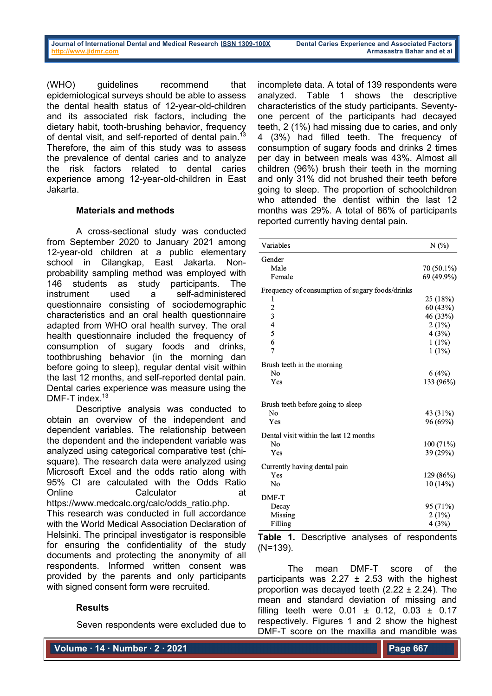(WHO) guidelines recommend that epidemiological surveys should be able to assess the dental health status of 12-year-old-children and its associated risk factors, including the dietary habit, tooth-brushing behavior, frequency of dental visit, and self-reported of dental pain.<sup>13</sup> Therefore, the aim of this study was to assess the prevalence of dental caries and to analyze the risk factors related to dental caries experience among 12-year-old-children in East Jakarta.

### **Materials and methods**

A cross-sectional study was conducted from September 2020 to January 2021 among 12-year-old children at a public elementary school in Cilangkap, East Jakarta. Nonprobability sampling method was employed with 146 students as study participants. The instrument used a self-administered questionnaire consisting of sociodemographic characteristics and an oral health questionnaire adapted from WHO oral health survey. The oral health questionnaire included the frequency of consumption of sugary foods and drinks, toothbrushing behavior (in the morning dan before going to sleep), regular dental visit within the last 12 months, and self-reported dental pain. Dental caries experience was measure using the DMF-T index.<sup>13</sup>

Descriptive analysis was conducted to obtain an overview of the independent and dependent variables. The relationship between the dependent and the independent variable was analyzed using categorical comparative test (chisquare). The research data were analyzed using Microsoft Excel and the odds ratio along with 95% CI are calculated with the Odds Ratio Online Calculator https://www.medcalc.org/calc/odds\_ratio.php. This research was conducted in full accordance

with the World Medical Association Declaration of Helsinki. The principal investigator is responsible for ensuring the confidentiality of the study documents and protecting the anonymity of all respondents. Informed written consent was provided by the parents and only participants with signed consent form were recruited.

### **Results**

Seven respondents were excluded due to

incomplete data. A total of 139 respondents were analyzed. Table 1 shows the descriptive characteristics of the study participants. Seventyone percent of the participants had decayed teeth, 2 (1%) had missing due to caries, and only 4 (3%) had filled teeth. The frequency of consumption of sugary foods and drinks 2 times per day in between meals was 43%. Almost all children (96%) brush their teeth in the morning and only 31% did not brushed their teeth before going to sleep. The proportion of schoolchildren who attended the dentist within the last 12 months was 29%. A total of 86% of participants reported currently having dental pain.

| Variables                                       | N(%        |
|-------------------------------------------------|------------|
| Gender                                          |            |
| Male                                            | 70 (50.1%) |
| Female                                          | 69 (49.9%) |
| Frequency of consumption of sugary foods/drinks |            |
| 1                                               | 25 (18%)   |
|                                                 | 60 (43%)   |
| $\frac{2}{3}$                                   | 46 (33%)   |
| 4                                               | 2(1%)      |
| 5                                               | 4(3%)      |
| 6                                               | $1(1\%)$   |
| 7                                               | $1(1\%)$   |
| Brush teeth in the morning                      |            |
| No                                              | 6(4%)      |
| Yes                                             | 133 (96%)  |
| Brush teeth before going to sleep               |            |
| No                                              | 43 (31%)   |
| Yes                                             | 96 (69%)   |
| Dental visit within the last 12 months          |            |
| No                                              | 100 (71%)  |
| Yes                                             | 39 (29%)   |
| Currently having dental pain                    |            |
| Yes                                             | 129 (86%)  |
| No                                              | 10(14%)    |
|                                                 |            |
| DMF-T                                           |            |
| Decay                                           | 95 (71%)   |
| Missing                                         | 2(1%)      |
| Filling                                         | 4(3%)      |

**Table 1.** Descriptive analyses of respondents (N=139).

The mean DMF-T score of the participants was  $2.27 \pm 2.53$  with the highest proportion was decayed teeth  $(2.22 \pm 2.24)$ . The mean and standard deviation of missing and filling teeth were  $0.01 \pm 0.12$ ,  $0.03 \pm 0.17$ respectively. Figures 1 and 2 show the highest DMF-T score on the maxilla and mandible was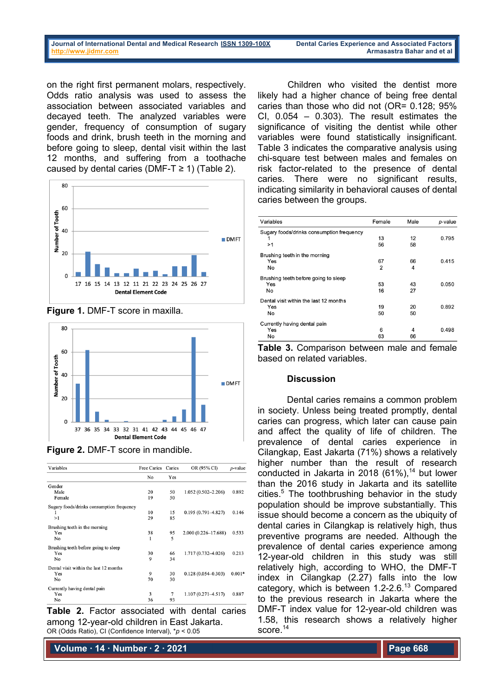# **Journal of International Dental and Medical Research ISSN 1309-100X Dental Caries Experience and Associated Factors**

on the right first permanent molars, respectively. Odds ratio analysis was used to assess the association between associated variables and decayed teeth. The analyzed variables were gender, frequency of consumption of sugary foods and drink, brush teeth in the morning and before going to sleep, dental visit within the last 12 months, and suffering from a toothache caused by dental caries (DMF-T  $\geq$  1) (Table 2).



**Figure 1.** DMF-T score in maxilla.





| Variables                                 | Free Caries Caries |     | OR (95% CI)            | $p$ -value |
|-------------------------------------------|--------------------|-----|------------------------|------------|
|                                           | No                 | Yes |                        |            |
| Gender                                    |                    |     |                        |            |
| Male                                      | 20                 | 50  | $1.052(0.502 - 2.206)$ | 0.892      |
| Female                                    | 19                 | 50  |                        |            |
| Sugary foods/drinks consumption frequency |                    |     |                        |            |
| 1                                         | 10                 | 15  | $0.195(0.791 - 4.827)$ | 0.146      |
| >1                                        | 29                 | 85  |                        |            |
| Brushing teeth in the morning             |                    |     |                        |            |
| Yes                                       | 38                 | 95  | 2.000 (0.226-17.688)   | 0.533      |
| No                                        | 1                  | 5   |                        |            |
| Brushing teeth before going to sleep      |                    |     |                        |            |
| Yes                                       | 30                 | 66  | 1.717 (0.732-4.026)    | 0.213      |
| No                                        | 9                  | 34  |                        |            |
| Dental visit within the last 12 months    |                    |     |                        |            |
| Yes                                       | 9                  | 30  | $0.128(0.054 - 0.303)$ | $0.001*$   |
| No                                        | 70                 | 30  |                        |            |
| Currently having dental pain              |                    |     |                        |            |
| Yes                                       | 3                  | 7   | $1.107(0.271 - 4.517)$ | 0.887      |
| No                                        | 36                 | 93  |                        |            |

**Table 2.** Factor associated with dental caries among 12-year-old children in East Jakarta. OR (Odds Ratio), CI (Confidence Interval), \**p* < 0.05

**Volume ∙ 14 ∙ Number ∙ 2 ∙ 2021**

Children who visited the dentist more likely had a higher chance of being free dental caries than those who did not (OR= 0.128; 95% CI,  $0.054 - 0.303$ ). The result estimates the significance of visiting the dentist while other variables were found statistically insignificant. Table 3 indicates the comparative analysis using chi-square test between males and females on risk factor-related to the presence of dental caries. There were no significant results, indicating similarity in behavioral causes of dental caries between the groups.

| Variables                                 | Female         | Male | p-value |
|-------------------------------------------|----------------|------|---------|
| Sugary foods/drinks consumption frequency |                |      |         |
| 1                                         | 13             | 12   | 0.795   |
| >1                                        | 56             | 58   |         |
| Brushing teeth in the morning             |                |      |         |
| Yes                                       | 67             | 66   | 0.415   |
| No                                        | $\overline{2}$ | 4    |         |
| Brushing teeth before going to sleep      |                |      |         |
| Yes                                       | 53             | 43   | 0.050   |
| No                                        | 16             | 27   |         |
| Dental visit within the last 12 months    |                |      |         |
| Yes                                       | 19             | 20   | 0.892   |
| No                                        | 50             | 50   |         |
| Currently having dental pain              |                |      |         |
| Yes                                       | 6              | 4    | 0.498   |
| No                                        | 63             | 66   |         |

**Table 3.** Comparison between male and female based on related variables.

### **Discussion**

Dental caries remains a common problem in society. Unless being treated promptly, dental caries can progress, which later can cause pain and affect the quality of life of children. The prevalence of dental caries experience in Cilangkap, East Jakarta (71%) shows a relatively higher number than the result of research conducted in Jakarta in 2018 (61%), $14$  but lower than the 2016 study in Jakarta and its satellite cities. <sup>5</sup> The toothbrushing behavior in the study population should be improve substantially. This issue should become a concern as the ubiquity of dental caries in Cilangkap is relatively high, thus preventive programs are needed. Although the prevalence of dental caries experience among 12-year-old children in this study was still relatively high, according to WHO, the DMF-T index in Cilangkap (2.27) falls into the low category, which is between 1.2-2.6.13 Compared to the previous research in Jakarta where the DMF-T index value for 12-year-old children was 1.58, this research shows a relatively higher score.<sup>14</sup>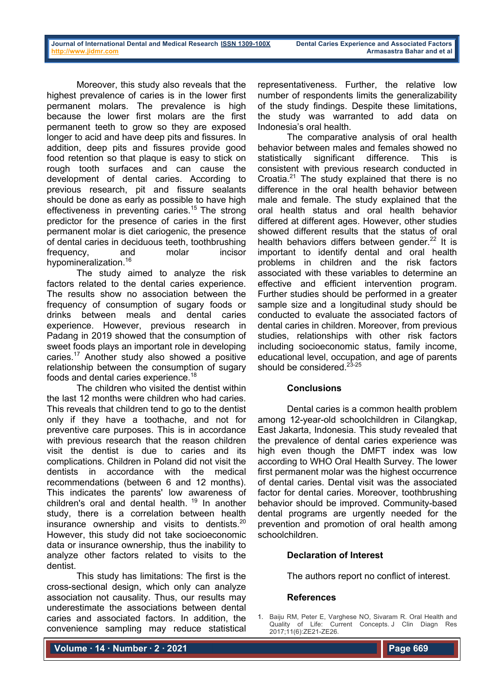Moreover, this study also reveals that the highest prevalence of caries is in the lower first permanent molars. The prevalence is high because the lower first molars are the first permanent teeth to grow so they are exposed longer to acid and have deep pits and fissures. In addition, deep pits and fissures provide good food retention so that plaque is easy to stick on rough tooth surfaces and can cause the development of dental caries. According to previous research, pit and fissure sealants should be done as early as possible to have high effectiveness in preventing caries.<sup>15</sup> The strong predictor for the presence of caries in the first permanent molar is diet cariogenic, the presence of dental caries in deciduous teeth, toothbrushing frequency, and molar incisor hypomineralization.<sup>16</sup>

The study aimed to analyze the risk factors related to the dental caries experience. The results show no association between the frequency of consumption of sugary foods or drinks between meals and dental caries experience. However, previous research in Padang in 2019 showed that the consumption of sweet foods plays an important role in developing caries.17 Another study also showed a positive relationship between the consumption of sugary foods and dental caries experience.18

The children who visited the dentist within the last 12 months were children who had caries. This reveals that children tend to go to the dentist only if they have a toothache, and not for preventive care purposes. This is in accordance with previous research that the reason children visit the dentist is due to caries and its complications. Children in Poland did not visit the dentists in accordance with the medical recommendations (between 6 and 12 months). This indicates the parents' low awareness of children's oral and dental health.<sup>19</sup> In another study, there is a correlation between health insurance ownership and visits to dentists. $20$ However, this study did not take socioeconomic data or insurance ownership, thus the inability to analyze other factors related to visits to the dentist.

This study has limitations: The first is the cross-sectional design, which only can analyze association not causality. Thus, our results may underestimate the associations between dental caries and associated factors. In addition, the convenience sampling may reduce statistical

representativeness. Further, the relative low number of respondents limits the generalizability of the study findings. Despite these limitations, the study was warranted to add data on Indonesia's oral health.

The comparative analysis of oral health behavior between males and females showed no statistically significant difference. This is consistent with previous research conducted in Croatia. $21$  The study explained that there is no difference in the oral health behavior between male and female. The study explained that the oral health status and oral health behavior differed at different ages. However, other studies showed different results that the status of oral health behaviors differs between gender. $22$  It is important to identify dental and oral health problems in children and the risk factors associated with these variables to determine an effective and efficient intervention program. Further studies should be performed in a greater sample size and a longitudinal study should be conducted to evaluate the associated factors of dental caries in children. Moreover, from previous studies, relationships with other risk factors including socioeconomic status, family income, educational level, occupation, and age of parents should be considered.<sup>23-25</sup>

### **Conclusions**

Dental caries is a common health problem among 12-year-old schoolchildren in Cilangkap, East Jakarta, Indonesia. This study revealed that the prevalence of dental caries experience was high even though the DMFT index was low according to WHO Oral Health Survey. The lower first permanent molar was the highest occurrence of dental caries. Dental visit was the associated factor for dental caries. Moreover, toothbrushing behavior should be improved. Community-based dental programs are urgently needed for the prevention and promotion of oral health among schoolchildren.

### **Declaration of Interest**

The authors report no conflict of interest.

### **References**

1. Baiju RM, Peter E, Varghese NO, Sivaram R. Oral Health and Quality of Life: Current Concepts. J Clin Diagn Res 2017;11(6):ZE21-ZE26.

**Volume ∙ 14 ∙ Number ∙ 2 ∙ 2021**